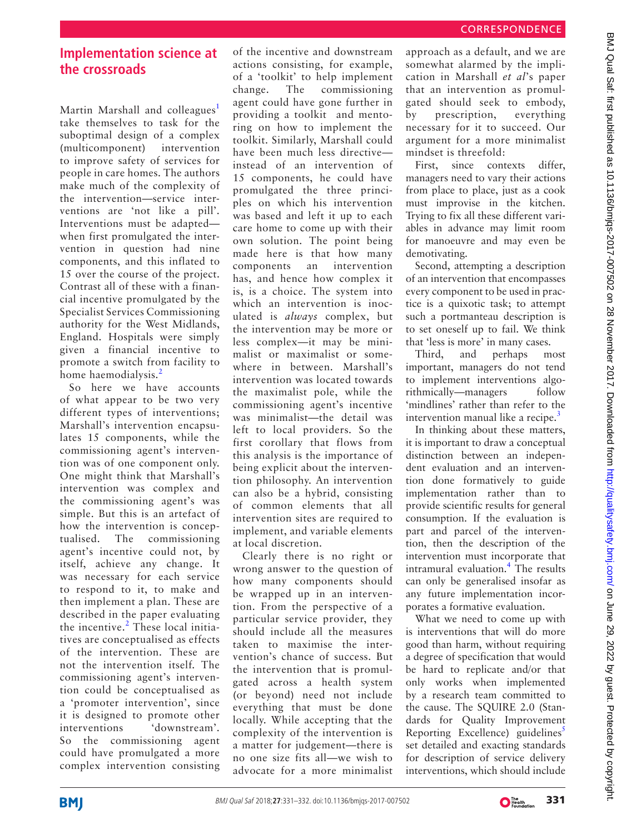# **Implementation science at the crossroads**

Martin Marshall and colleagues<sup>[1](#page-1-0)</sup> take themselves to task for the suboptimal design of a complex (multicomponent) intervention to improve safety of services for people in care homes. The authors make much of the complexity of the intervention—service interventions are 'not like a pill'. Interventions must be adapted when first promulgated the intervention in question had nine components, and this inflated to 15 over the course of the project. Contrast all of these with a financial incentive promulgated by the Specialist Services Commissioning authority for the West Midlands, England. Hospitals were simply given a financial incentive to promote a switch from facility to home haemodialysis.<sup>[2](#page-1-1)</sup>

So here we have accounts of what appear to be two very different types of interventions; Marshall's intervention encapsulates 15 components, while the commissioning agent's intervention was of one component only. One might think that Marshall's intervention was complex and the commissioning agent's was simple. But this is an artefact of how the intervention is conceptualised. The commissioning agent's incentive could not, by itself, achieve any change. It was necessary for each service to respond to it, to make and then implement a plan. These are described in the paper evaluating the incentive.<sup>[2](#page-1-1)</sup> These local initiatives are conceptualised as effects of the intervention. These are not the intervention itself. The commissioning agent's intervention could be conceptualised as a 'promoter intervention', since it is designed to promote other interventions 'downstream'. So the commissioning agent could have promulgated a more complex intervention consisting

of the incentive and downstream actions consisting, for example, of a 'toolkit' to help implement change. The commissioning agent could have gone further in providing a toolkit and mentoring on how to implement the toolkit. Similarly, Marshall could have been much less directive instead of an intervention of 15 components, he could have promulgated the three principles on which his intervention was based and left it up to each care home to come up with their own solution. The point being made here is that how many components an intervention has, and hence how complex it is, is a choice. The system into which an intervention is inoculated is *always* complex, but the intervention may be more or less complex—it may be minimalist or maximalist or somewhere in between. Marshall's intervention was located towards the maximalist pole, while the commissioning agent's incentive was minimalist—the detail was left to local providers. So the first corollary that flows from this analysis is the importance of being explicit about the intervention philosophy. An intervention can also be a hybrid, consisting of common elements that all intervention sites are required to implement, and variable elements at local discretion.

Clearly there is no right or wrong answer to the question of how many components should be wrapped up in an intervention. From the perspective of a particular service provider, they should include all the measures taken to maximise the intervention's chance of success. But the intervention that is promulgated across a health system (or beyond) need not include everything that must be done locally. While accepting that the complexity of the intervention is a matter for judgement—there is no one size fits all—we wish to advocate for a more minimalist approach as a default, and we are somewhat alarmed by the implication in Marshall *et al*'s paper that an intervention as promulgated should seek to embody, by prescription, everything necessary for it to succeed. Our argument for a more minimalist mindset is threefold:

First, since contexts differ, managers need to vary their actions from place to place, just as a cook must improvise in the kitchen. Trying to fix all these different variables in advance may limit room for manoeuvre and may even be demotivating.

Second, attempting a description of an intervention that encompasses every component to be used in practice is a quixotic task; to attempt such a portmanteau description is to set oneself up to fail. We think that 'less is more' in many cases.

Third, and perhaps most important, managers do not tend to implement interventions algorithmically—managers follow 'mindlines' rather than refer to the intervention manual like a recipe. $3$ 

In thinking about these matters, it is important to draw a conceptual distinction between an independent evaluation and an intervention done formatively to guide implementation rather than to provide scientific results for general consumption. If the evaluation is part and parcel of the intervention, then the description of the intervention must incorporate that intramural evaluation.<sup>4</sup> The results can only be generalised insofar as any future implementation incorporates a formative evaluation.

What we need to come up with is interventions that will do more good than harm, without requiring a degree of specification that would be hard to replicate and/or that only works when implemented by a research team committed to the cause. The SQUIRE 2.0 (Standards for Quality Improvement Reporting Excellence) guidelines $<sup>5</sup>$  $<sup>5</sup>$  $<sup>5</sup>$ </sup> set detailed and exacting standards for description of service delivery interventions, which should include